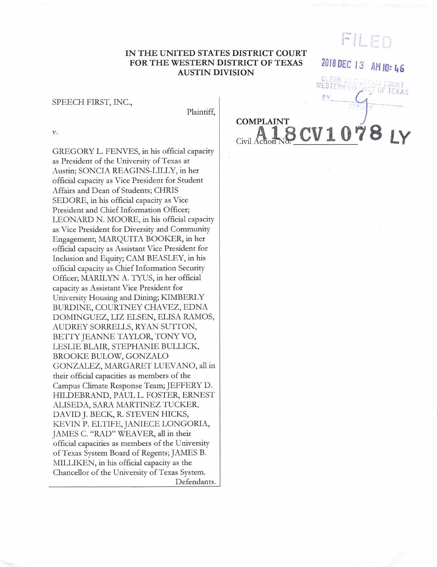# FILED

2018 DEC 13 AM 10:46

## IN THE UNITED STATES DISTRICT COURT FOR THE WESTERN DISTRICT OF TEXAS **AUSTIN DIVISION**

#### SPEECH FIRST, INC.,

Plaintiff.

v.

GREGORY L. FENVES, in his official capacity as President of the University of Texas at Austin; SONCIA REAGINS-LILLY, in her official capacity as Vice President for Student Affairs and Dean of Students; CHRIS SEDORE, in his official capacity as Vice President and Chief Information Officer; LEONARD N. MOORE, in his official capacity as Vice President for Diversity and Community Engagement; MARQUITA BOOKER, in her official capacity as Assistant Vice President for Inclusion and Equity; CAM BEASLEY, in his official capacity as Chief Information Security Officer; MARILYN A. TYUS, in her official capacity as Assistant Vice President for University Housing and Dining; KIMBERLY BURDINE, COURTNEY CHAVEZ, EDNA DOMINGUEZ, LIZ ELSEN, ELISA RAMOS, AUDREY SORRELLS, RYAN SUTTON, BETTY JEANNE TAYLOR, TONY VO, LESLIE BLAIR, STEPHANIE BULLICK, BROOKE BULOW, GONZALO GONZALEZ, MARGARET LUEVANO, all in their official capacities as members of the Campus Climate Response Team; JEFFERY D. HILDEBRAND, PAUL L. FOSTER, ERNEST ALISEDA, SARA MARTINEZ TUCKER, DAVID J. BECK, R. STEVEN HICKS, KEVIN P. ELTIFE, JANIECE LONGORIA, JAMES C. "RAD" WEAVER, all in their official capacities as members of the University of Texas System Board of Regents; JAMES B. MILLIKEN, in his official capacity as the Chancellor of the University of Texas System. Defendants. **COMPLAINT** 8 CV 1 0 Civil Actio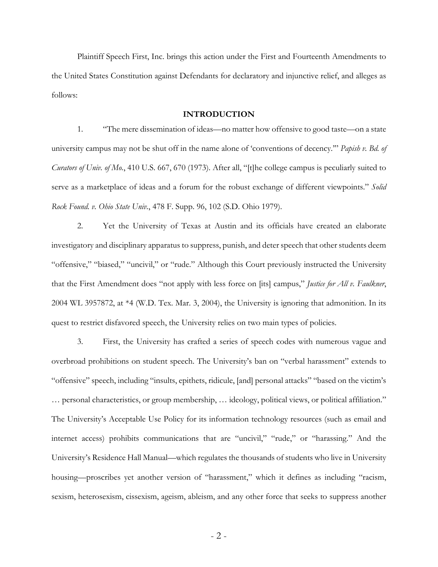Plaintiff Speech First, Inc. brings this action under the First and Fourteenth Amendments to the United States Constitution against Defendants for declaratory and injunctive relief, and alleges as follows:

# **INTRODUCTION**

1. "The mere dissemination of ideas—no matter how offensive to good taste—on a state university campus may not be shut off in the name alone of 'conventions of decency.'" *Papish v. Bd. of Curators of Univ. of Mo.*, 410 U.S. 667, 670 (1973). After all, "[t]he college campus is peculiarly suited to serve as a marketplace of ideas and a forum for the robust exchange of different viewpoints." *Solid Rock Found. v. Ohio State Univ.*, 478 F. Supp. 96, 102 (S.D. Ohio 1979).

2. Yet the University of Texas at Austin and its officials have created an elaborate investigatory and disciplinary apparatus to suppress, punish, and deter speech that other students deem "offensive," "biased," "uncivil," or "rude." Although this Court previously instructed the University that the First Amendment does "not apply with less force on [its] campus," *Justice for All v. Faulkner*, 2004 WL 3957872, at \*4 (W.D. Tex. Mar. 3, 2004), the University is ignoring that admonition. In its quest to restrict disfavored speech, the University relies on two main types of policies.

3. First, the University has crafted a series of speech codes with numerous vague and overbroad prohibitions on student speech. The University's ban on "verbal harassment" extends to "offensive" speech, including "insults, epithets, ridicule, [and] personal attacks" "based on the victim's … personal characteristics, or group membership, … ideology, political views, or political affiliation." The University's Acceptable Use Policy for its information technology resources (such as email and internet access) prohibits communications that are "uncivil," "rude," or "harassing." And the University's Residence Hall Manual—which regulates the thousands of students who live in University housing—proscribes yet another version of "harassment," which it defines as including "racism, sexism, heterosexism, cissexism, ageism, ableism, and any other force that seeks to suppress another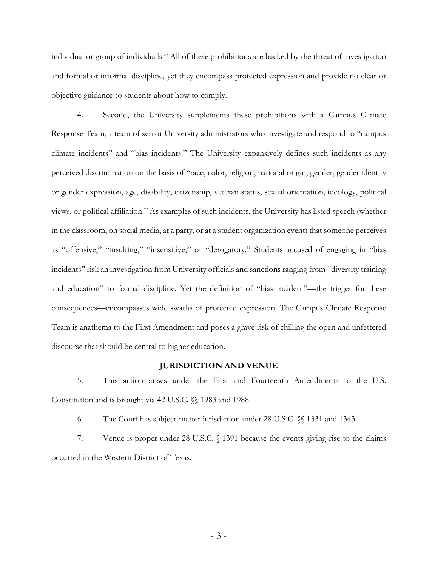individual or group of individuals." All of these prohibitions are backed by the threat of investigation and formal or informal discipline, yet they encompass protected expression and provide no clear or objective guidance to students about how to comply.

4. Second, the University supplements these prohibitions with a Campus Climate Response Team, a team of senior University administrators who investigate and respond to "campus climate incidents" and "bias incidents." The University expansively defines such incidents as any perceived discrimination on the basis of "race, color, religion, national origin, gender, gender identity or gender expression, age, disability, citizenship, veteran status, sexual orientation, ideology, political views, or political affiliation." As examples of such incidents, the University has listed speech (whether in the classroom, on social media, at a party, or at a student organization event) that someone perceives as "offensive," "insulting," "insensitive," or "derogatory." Students accused of engaging in "bias incidents" risk an investigation from University officials and sanctions ranging from "diversity training and education" to formal discipline. Yet the definition of "bias incident"—the trigger for these consequences—encompasses wide swaths of protected expression. The Campus Climate Response Team is anathema to the First Amendment and poses a grave risk of chilling the open and unfettered discourse that should be central to higher education.

#### **JURISDICTION AND VENUE**

5. This action arises under the First and Fourteenth Amendments to the U.S. Constitution and is brought via 42 U.S.C. §§ 1983 and 1988.

6. The Court has subject-matter jurisdiction under 28 U.S.C. §§ 1331 and 1343.

7. Venue is proper under 28 U.S.C. § 1391 because the events giving rise to the claims occurred in the Western District of Texas.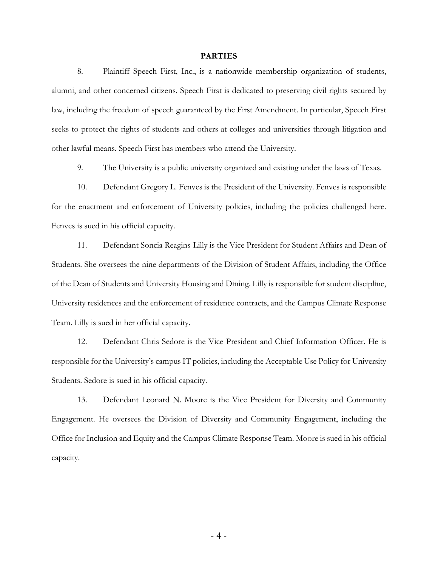#### **PARTIES**

8. Plaintiff Speech First, Inc., is a nationwide membership organization of students, alumni, and other concerned citizens. Speech First is dedicated to preserving civil rights secured by law, including the freedom of speech guaranteed by the First Amendment. In particular, Speech First seeks to protect the rights of students and others at colleges and universities through litigation and other lawful means. Speech First has members who attend the University.

9. The University is a public university organized and existing under the laws of Texas.

10. Defendant Gregory L. Fenves is the President of the University. Fenves is responsible for the enactment and enforcement of University policies, including the policies challenged here. Fenves is sued in his official capacity.

11. Defendant Soncia Reagins-Lilly is the Vice President for Student Affairs and Dean of Students. She oversees the nine departments of the Division of Student Affairs, including the Office of the Dean of Students and University Housing and Dining. Lilly is responsible for student discipline, University residences and the enforcement of residence contracts, and the Campus Climate Response Team. Lilly is sued in her official capacity.

12. Defendant Chris Sedore is the Vice President and Chief Information Officer. He is responsible for the University's campus IT policies, including the Acceptable Use Policy for University Students. Sedore is sued in his official capacity.

13. Defendant Leonard N. Moore is the Vice President for Diversity and Community Engagement. He oversees the Division of Diversity and Community Engagement, including the Office for Inclusion and Equity and the Campus Climate Response Team. Moore is sued in his official capacity.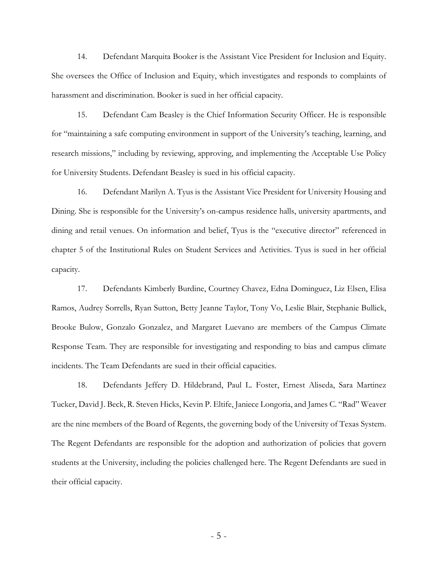14. Defendant Marquita Booker is the Assistant Vice President for Inclusion and Equity. She oversees the Office of Inclusion and Equity, which investigates and responds to complaints of harassment and discrimination. Booker is sued in her official capacity.

15. Defendant Cam Beasley is the Chief Information Security Officer. He is responsible for "maintaining a safe computing environment in support of the University's teaching, learning, and research missions," including by reviewing, approving, and implementing the Acceptable Use Policy for University Students. Defendant Beasley is sued in his official capacity.

16. Defendant Marilyn A. Tyus is the Assistant Vice President for University Housing and Dining. She is responsible for the University's on-campus residence halls, university apartments, and dining and retail venues. On information and belief, Tyus is the "executive director" referenced in chapter 5 of the Institutional Rules on Student Services and Activities. Tyus is sued in her official capacity.

17. Defendants Kimberly Burdine, Courtney Chavez, Edna Dominguez, Liz Elsen, Elisa Ramos, Audrey Sorrells, Ryan Sutton, Betty Jeanne Taylor, Tony Vo, Leslie Blair, Stephanie Bullick, Brooke Bulow, Gonzalo Gonzalez, and Margaret Luevano are members of the Campus Climate Response Team. They are responsible for investigating and responding to bias and campus climate incidents. The Team Defendants are sued in their official capacities.

18. Defendants Jeffery D. Hildebrand, Paul L. Foster, Ernest Aliseda, Sara Martinez Tucker, David J. Beck, R. Steven Hicks, Kevin P. Eltife, Janiece Longoria, and James C. "Rad" Weaver are the nine members of the Board of Regents, the governing body of the University of Texas System. The Regent Defendants are responsible for the adoption and authorization of policies that govern students at the University, including the policies challenged here. The Regent Defendants are sued in their official capacity.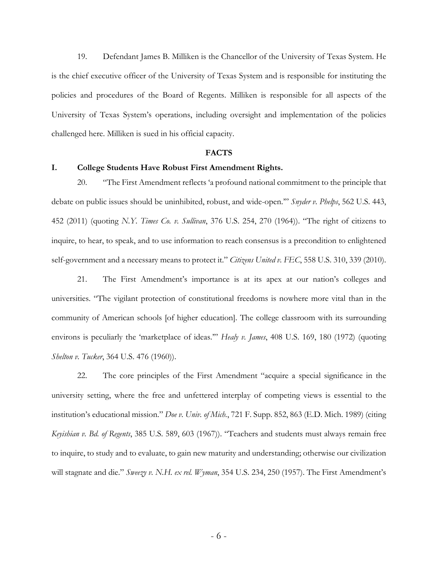19. Defendant James B. Milliken is the Chancellor of the University of Texas System. He is the chief executive officer of the University of Texas System and is responsible for instituting the policies and procedures of the Board of Regents. Milliken is responsible for all aspects of the University of Texas System's operations, including oversight and implementation of the policies challenged here. Milliken is sued in his official capacity.

#### **FACTS**

#### **I. College Students Have Robust First Amendment Rights.**

20. "The First Amendment reflects 'a profound national commitment to the principle that debate on public issues should be uninhibited, robust, and wide-open.'" *Snyder v. Phelps*, 562 U.S. 443, 452 (2011) (quoting *N.Y. Times Co. v. Sullivan*, 376 U.S. 254, 270 (1964)). "The right of citizens to inquire, to hear, to speak, and to use information to reach consensus is a precondition to enlightened self-government and a necessary means to protect it." *Citizens United v. FEC*, 558 U.S. 310, 339 (2010).

21. The First Amendment's importance is at its apex at our nation's colleges and universities. "The vigilant protection of constitutional freedoms is nowhere more vital than in the community of American schools [of higher education]. The college classroom with its surrounding environs is peculiarly the 'marketplace of ideas.'" *Healy v. James*, 408 U.S. 169, 180 (1972) (quoting *Shelton v. Tucker*, 364 U.S. 476 (1960)).

22. The core principles of the First Amendment "acquire a special significance in the university setting, where the free and unfettered interplay of competing views is essential to the institution's educational mission." *Doe v. Univ. of Mich.*, 721 F. Supp. 852, 863 (E.D. Mich. 1989) (citing *Keyishian v. Bd. of Regents*, 385 U.S. 589, 603 (1967)). "Teachers and students must always remain free to inquire, to study and to evaluate, to gain new maturity and understanding; otherwise our civilization will stagnate and die." *Sweezy v. N.H. ex rel. Wyman*, 354 U.S. 234, 250 (1957). The First Amendment's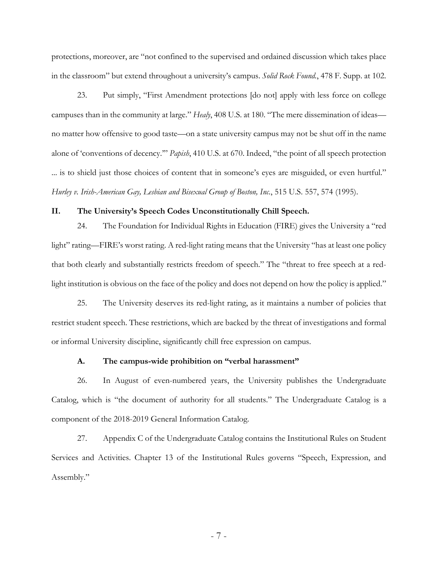protections, moreover, are "not confined to the supervised and ordained discussion which takes place in the classroom" but extend throughout a university's campus. *Solid Rock Found.*, 478 F. Supp. at 102.

23. Put simply, "First Amendment protections [do not] apply with less force on college campuses than in the community at large." *Healy*, 408 U.S. at 180. "The mere dissemination of ideas no matter how offensive to good taste—on a state university campus may not be shut off in the name alone of 'conventions of decency.'" *Papish*, 410 U.S. at 670. Indeed, "the point of all speech protection ... is to shield just those choices of content that in someone's eyes are misguided, or even hurtful." *Hurley v. Irish-American Gay, Lesbian and Bisexual Group of Boston, Inc.*, 515 U.S. 557, 574 (1995).

#### **II. The University's Speech Codes Unconstitutionally Chill Speech.**

24. The Foundation for Individual Rights in Education (FIRE) gives the University a "red light" rating—FIRE's worst rating. A red-light rating means that the University "has at least one policy that both clearly and substantially restricts freedom of speech." The "threat to free speech at a redlight institution is obvious on the face of the policy and does not depend on how the policy is applied."

25. The University deserves its red-light rating, as it maintains a number of policies that restrict student speech. These restrictions, which are backed by the threat of investigations and formal or informal University discipline, significantly chill free expression on campus.

#### **A. The campus-wide prohibition on "verbal harassment"**

26. In August of even-numbered years, the University publishes the Undergraduate Catalog, which is "the document of authority for all students." The Undergraduate Catalog is a component of the 2018-2019 General Information Catalog.

27. Appendix C of the Undergraduate Catalog contains the Institutional Rules on Student Services and Activities. Chapter 13 of the Institutional Rules governs "Speech, Expression, and Assembly."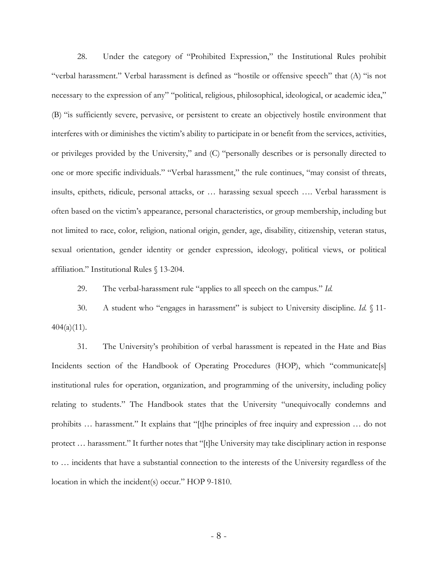28. Under the category of "Prohibited Expression," the Institutional Rules prohibit "verbal harassment." Verbal harassment is defined as "hostile or offensive speech" that (A) "is not necessary to the expression of any" "political, religious, philosophical, ideological, or academic idea," (B) "is sufficiently severe, pervasive, or persistent to create an objectively hostile environment that interferes with or diminishes the victim's ability to participate in or benefit from the services, activities, or privileges provided by the University," and (C) "personally describes or is personally directed to one or more specific individuals." "Verbal harassment," the rule continues, "may consist of threats, insults, epithets, ridicule, personal attacks, or … harassing sexual speech …. Verbal harassment is often based on the victim's appearance, personal characteristics, or group membership, including but not limited to race, color, religion, national origin, gender, age, disability, citizenship, veteran status, sexual orientation, gender identity or gender expression, ideology, political views, or political affiliation." Institutional Rules § 13-204.

29. The verbal-harassment rule "applies to all speech on the campus." *Id.*

30. A student who "engages in harassment" is subject to University discipline. *Id.* § 11-  $404(a)(11)$ .

31. The University's prohibition of verbal harassment is repeated in the Hate and Bias Incidents section of the Handbook of Operating Procedures (HOP), which "communicate[s] institutional rules for operation, organization, and programming of the university, including policy relating to students." The Handbook states that the University "unequivocally condemns and prohibits … harassment." It explains that "[t]he principles of free inquiry and expression … do not protect … harassment." It further notes that "[t]he University may take disciplinary action in response to … incidents that have a substantial connection to the interests of the University regardless of the location in which the incident(s) occur." HOP 9-1810.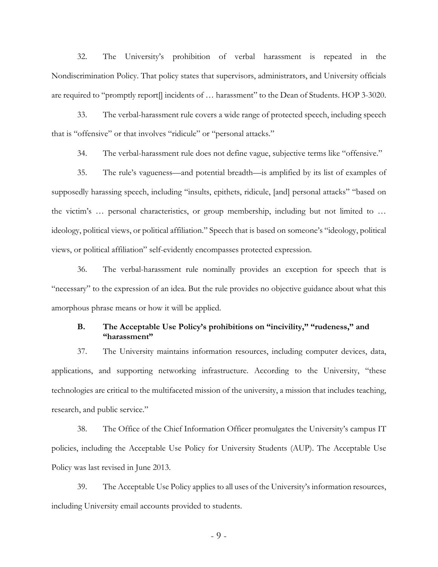32. The University's prohibition of verbal harassment is repeated in the Nondiscrimination Policy. That policy states that supervisors, administrators, and University officials are required to "promptly report[] incidents of … harassment" to the Dean of Students. HOP 3-3020.

33. The verbal-harassment rule covers a wide range of protected speech, including speech that is "offensive" or that involves "ridicule" or "personal attacks."

34. The verbal-harassment rule does not define vague, subjective terms like "offensive."

35. The rule's vagueness—and potential breadth—is amplified by its list of examples of supposedly harassing speech, including "insults, epithets, ridicule, [and] personal attacks" "based on the victim's … personal characteristics, or group membership, including but not limited to … ideology, political views, or political affiliation." Speech that is based on someone's "ideology, political views, or political affiliation" self-evidently encompasses protected expression.

36. The verbal-harassment rule nominally provides an exception for speech that is "necessary" to the expression of an idea. But the rule provides no objective guidance about what this amorphous phrase means or how it will be applied.

## **B. The Acceptable Use Policy's prohibitions on "incivility," "rudeness," and "harassment"**

37. The University maintains information resources, including computer devices, data, applications, and supporting networking infrastructure. According to the University, "these technologies are critical to the multifaceted mission of the university, a mission that includes teaching, research, and public service."

38. The Office of the Chief Information Officer promulgates the University's campus IT policies, including the Acceptable Use Policy for University Students (AUP). The Acceptable Use Policy was last revised in June 2013.

39. The Acceptable Use Policy applies to all uses of the University's information resources, including University email accounts provided to students.

- 9 -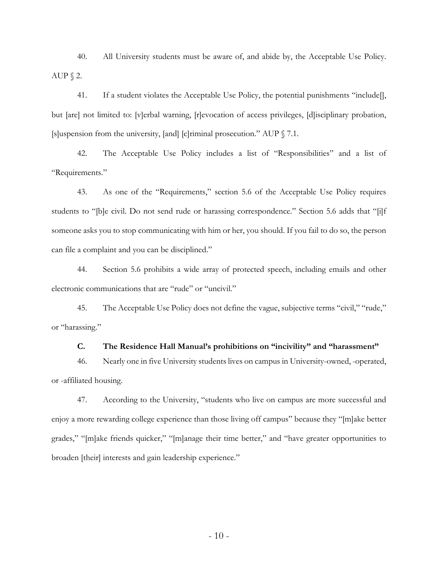40. All University students must be aware of, and abide by, the Acceptable Use Policy. AUP  $\S$  2.

41. If a student violates the Acceptable Use Policy, the potential punishments "include[], but [are] not limited to: [v]erbal warning, [r]evocation of access privileges, [d]isciplinary probation, [s]uspension from the university, [and] [c]riminal prosecution." AUP § 7.1.

42. The Acceptable Use Policy includes a list of "Responsibilities" and a list of "Requirements."

43. As one of the "Requirements," section 5.6 of the Acceptable Use Policy requires students to "[b]e civil. Do not send rude or harassing correspondence." Section 5.6 adds that "[i]f someone asks you to stop communicating with him or her, you should. If you fail to do so, the person can file a complaint and you can be disciplined."

44. Section 5.6 prohibits a wide array of protected speech, including emails and other electronic communications that are "rude" or "uncivil."

45. The Acceptable Use Policy does not define the vague, subjective terms "civil," "rude," or "harassing."

#### **C. The Residence Hall Manual's prohibitions on "incivility" and "harassment"**

46. Nearly one in five University students lives on campus in University-owned, -operated, or -affiliated housing.

47. According to the University, "students who live on campus are more successful and enjoy a more rewarding college experience than those living off campus" because they "[m]ake better grades," "[m]ake friends quicker," "[m]anage their time better," and "have greater opportunities to broaden [their] interests and gain leadership experience."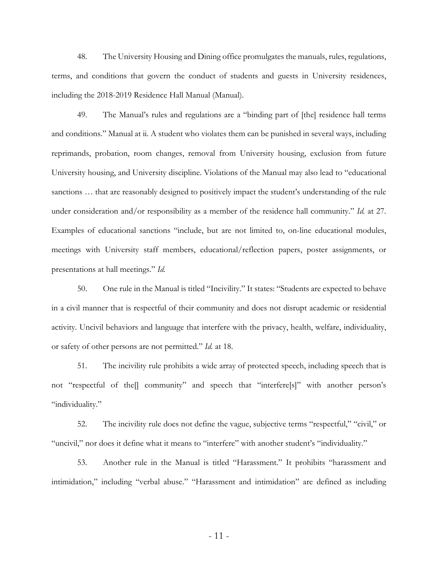48. The University Housing and Dining office promulgates the manuals, rules, regulations, terms, and conditions that govern the conduct of students and guests in University residences, including the 2018-2019 Residence Hall Manual (Manual).

49. The Manual's rules and regulations are a "binding part of [the] residence hall terms and conditions." Manual at ii. A student who violates them can be punished in several ways, including reprimands, probation, room changes, removal from University housing, exclusion from future University housing, and University discipline. Violations of the Manual may also lead to "educational sanctions … that are reasonably designed to positively impact the student's understanding of the rule under consideration and/or responsibility as a member of the residence hall community." *Id.* at 27. Examples of educational sanctions "include, but are not limited to, on-line educational modules, meetings with University staff members, educational/reflection papers, poster assignments, or presentations at hall meetings." *Id.*

50. One rule in the Manual is titled "Incivility." It states: "Students are expected to behave in a civil manner that is respectful of their community and does not disrupt academic or residential activity. Uncivil behaviors and language that interfere with the privacy, health, welfare, individuality, or safety of other persons are not permitted." *Id.* at 18.

51. The incivility rule prohibits a wide array of protected speech, including speech that is not "respectful of the[] community" and speech that "interfere[s]" with another person's "individuality."

52. The incivility rule does not define the vague, subjective terms "respectful," "civil," or "uncivil," nor does it define what it means to "interfere" with another student's "individuality."

53. Another rule in the Manual is titled "Harassment." It prohibits "harassment and intimidation," including "verbal abuse." "Harassment and intimidation" are defined as including

- 11 -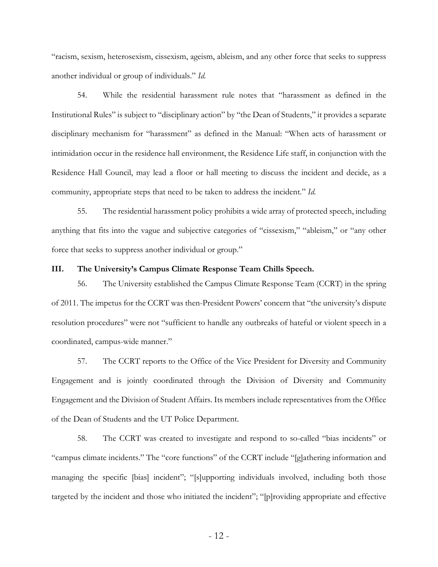"racism, sexism, heterosexism, cissexism, ageism, ableism, and any other force that seeks to suppress another individual or group of individuals." *Id.*

54. While the residential harassment rule notes that "harassment as defined in the Institutional Rules" is subject to "disciplinary action" by "the Dean of Students," it provides a separate disciplinary mechanism for "harassment" as defined in the Manual: "When acts of harassment or intimidation occur in the residence hall environment, the Residence Life staff, in conjunction with the Residence Hall Council, may lead a floor or hall meeting to discuss the incident and decide, as a community, appropriate steps that need to be taken to address the incident." *Id.*

55. The residential harassment policy prohibits a wide array of protected speech, including anything that fits into the vague and subjective categories of "cissexism," "ableism," or "any other force that seeks to suppress another individual or group."

### **III. The University's Campus Climate Response Team Chills Speech.**

56. The University established the Campus Climate Response Team (CCRT) in the spring of 2011. The impetus for the CCRT was then-President Powers' concern that "the university's dispute resolution procedures" were not "sufficient to handle any outbreaks of hateful or violent speech in a coordinated, campus-wide manner."

57. The CCRT reports to the Office of the Vice President for Diversity and Community Engagement and is jointly coordinated through the Division of Diversity and Community Engagement and the Division of Student Affairs. Its members include representatives from the Office of the Dean of Students and the UT Police Department.

58. The CCRT was created to investigate and respond to so-called "bias incidents" or "campus climate incidents." The "core functions" of the CCRT include "[g]athering information and managing the specific [bias] incident"; "[s]upporting individuals involved, including both those targeted by the incident and those who initiated the incident"; "[p]roviding appropriate and effective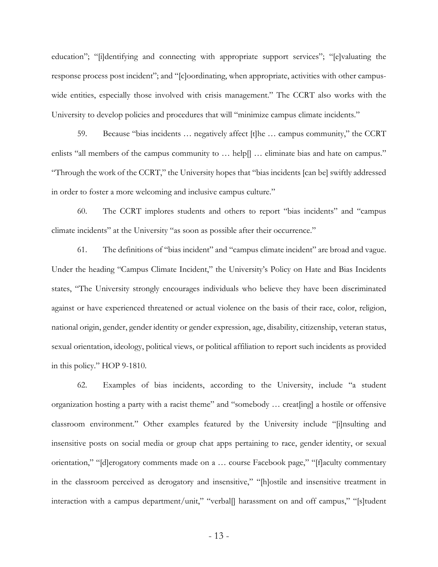education"; "[i]dentifying and connecting with appropriate support services"; "[e]valuating the response process post incident"; and "[c]oordinating, when appropriate, activities with other campuswide entities, especially those involved with crisis management." The CCRT also works with the University to develop policies and procedures that will "minimize campus climate incidents."

59. Because "bias incidents … negatively affect [t]he … campus community," the CCRT enlists "all members of the campus community to ... help[] ... eliminate bias and hate on campus." "Through the work of the CCRT," the University hopes that "bias incidents [can be] swiftly addressed in order to foster a more welcoming and inclusive campus culture."

60. The CCRT implores students and others to report "bias incidents" and "campus climate incidents" at the University "as soon as possible after their occurrence."

61. The definitions of "bias incident" and "campus climate incident" are broad and vague. Under the heading "Campus Climate Incident," the University's Policy on Hate and Bias Incidents states, "The University strongly encourages individuals who believe they have been discriminated against or have experienced threatened or actual violence on the basis of their race, color, religion, national origin, gender, gender identity or gender expression, age, disability, citizenship, veteran status, sexual orientation, ideology, political views, or political affiliation to report such incidents as provided in this policy." HOP 9-1810.

62. Examples of bias incidents, according to the University, include "a student organization hosting a party with a racist theme" and "somebody … creat[ing] a hostile or offensive classroom environment." Other examples featured by the University include "[i]nsulting and insensitive posts on social media or group chat apps pertaining to race, gender identity, or sexual orientation," "[d]erogatory comments made on a … course Facebook page," "[f]aculty commentary in the classroom perceived as derogatory and insensitive," "[h]ostile and insensitive treatment in interaction with a campus department/unit," "verbal[] harassment on and off campus," "[s]tudent

- 13 -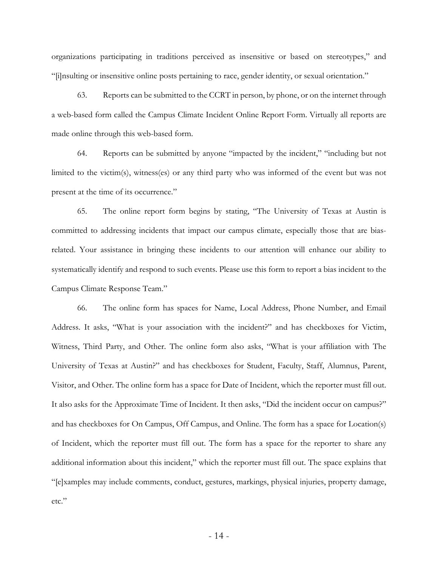organizations participating in traditions perceived as insensitive or based on stereotypes," and "[i]nsulting or insensitive online posts pertaining to race, gender identity, or sexual orientation."

63. Reports can be submitted to the CCRT in person, by phone, or on the internet through a web-based form called the Campus Climate Incident Online Report Form. Virtually all reports are made online through this web-based form.

64. Reports can be submitted by anyone "impacted by the incident," "including but not limited to the victim(s), witness(es) or any third party who was informed of the event but was not present at the time of its occurrence."

65. The online report form begins by stating, "The University of Texas at Austin is committed to addressing incidents that impact our campus climate, especially those that are biasrelated. Your assistance in bringing these incidents to our attention will enhance our ability to systematically identify and respond to such events. Please use this form to report a bias incident to the Campus Climate Response Team."

66. The online form has spaces for Name, Local Address, Phone Number, and Email Address. It asks, "What is your association with the incident?" and has checkboxes for Victim, Witness, Third Party, and Other. The online form also asks, "What is your affiliation with The University of Texas at Austin?" and has checkboxes for Student, Faculty, Staff, Alumnus, Parent, Visitor, and Other. The online form has a space for Date of Incident, which the reporter must fill out. It also asks for the Approximate Time of Incident. It then asks, "Did the incident occur on campus?" and has checkboxes for On Campus, Off Campus, and Online. The form has a space for Location(s) of Incident, which the reporter must fill out. The form has a space for the reporter to share any additional information about this incident," which the reporter must fill out. The space explains that "[e]xamples may include comments, conduct, gestures, markings, physical injuries, property damage, etc."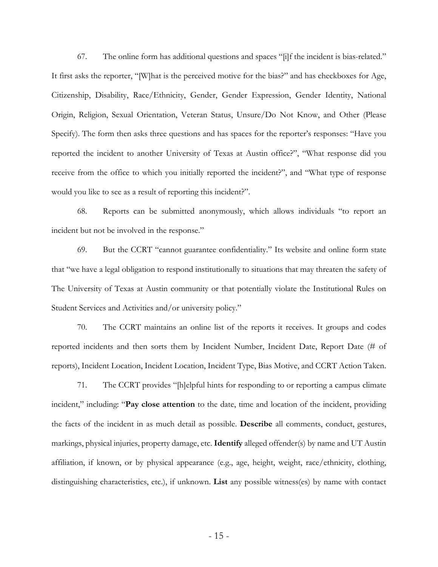67. The online form has additional questions and spaces "[i]f the incident is bias-related." It first asks the reporter, "[W]hat is the perceived motive for the bias?" and has checkboxes for Age, Citizenship, Disability, Race/Ethnicity, Gender, Gender Expression, Gender Identity, National Origin, Religion, Sexual Orientation, Veteran Status, Unsure/Do Not Know, and Other (Please Specify). The form then asks three questions and has spaces for the reporter's responses: "Have you reported the incident to another University of Texas at Austin office?", "What response did you receive from the office to which you initially reported the incident?", and "What type of response would you like to see as a result of reporting this incident?".

68. Reports can be submitted anonymously, which allows individuals "to report an incident but not be involved in the response."

69. But the CCRT "cannot guarantee confidentiality." Its website and online form state that "we have a legal obligation to respond institutionally to situations that may threaten the safety of The University of Texas at Austin community or that potentially violate the Institutional Rules on Student Services and Activities and/or university policy."

70. The CCRT maintains an online list of the reports it receives. It groups and codes reported incidents and then sorts them by Incident Number, Incident Date, Report Date (# of reports), Incident Location, Incident Location, Incident Type, Bias Motive, and CCRT Action Taken.

71. The CCRT provides "[h]elpful hints for responding to or reporting a campus climate incident," including: "**Pay close attention** to the date, time and location of the incident, providing the facts of the incident in as much detail as possible. **Describe** all comments, conduct, gestures, markings, physical injuries, property damage, etc. **Identify** alleged offender(s) by name and UT Austin affiliation, if known, or by physical appearance (e.g., age, height, weight, race/ethnicity, clothing, distinguishing characteristics, etc.), if unknown. **List** any possible witness(es) by name with contact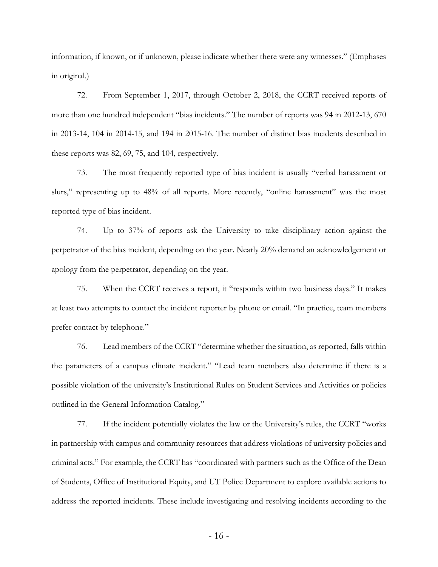information, if known, or if unknown, please indicate whether there were any witnesses." (Emphases in original.)

72. From September 1, 2017, through October 2, 2018, the CCRT received reports of more than one hundred independent "bias incidents." The number of reports was 94 in 2012-13, 670 in 2013-14, 104 in 2014-15, and 194 in 2015-16. The number of distinct bias incidents described in these reports was 82, 69, 75, and 104, respectively.

73. The most frequently reported type of bias incident is usually "verbal harassment or slurs," representing up to 48% of all reports. More recently, "online harassment" was the most reported type of bias incident.

74. Up to 37% of reports ask the University to take disciplinary action against the perpetrator of the bias incident, depending on the year. Nearly 20% demand an acknowledgement or apology from the perpetrator, depending on the year.

75. When the CCRT receives a report, it "responds within two business days." It makes at least two attempts to contact the incident reporter by phone or email. "In practice, team members prefer contact by telephone."

76. Lead members of the CCRT "determine whether the situation, as reported, falls within the parameters of a campus climate incident." "Lead team members also determine if there is a possible violation of the university's Institutional Rules on Student Services and Activities or policies outlined in the General Information Catalog."

77. If the incident potentially violates the law or the University's rules, the CCRT "works in partnership with campus and community resources that address violations of university policies and criminal acts." For example, the CCRT has "coordinated with partners such as the Office of the Dean of Students, Office of Institutional Equity, and UT Police Department to explore available actions to address the reported incidents. These include investigating and resolving incidents according to the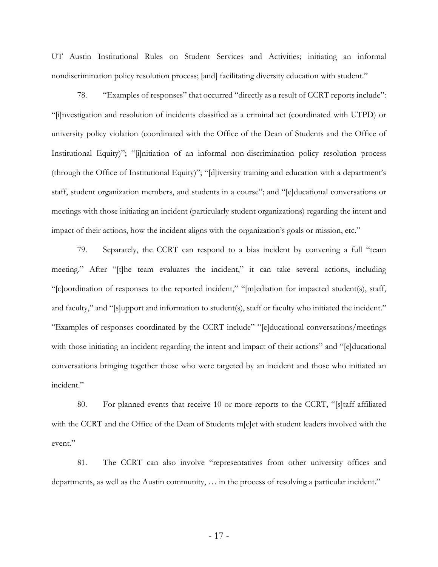UT Austin Institutional Rules on Student Services and Activities; initiating an informal nondiscrimination policy resolution process; [and] facilitating diversity education with student."

78. "Examples of responses" that occurred "directly as a result of CCRT reports include": "[i]nvestigation and resolution of incidents classified as a criminal act (coordinated with UTPD) or university policy violation (coordinated with the Office of the Dean of Students and the Office of Institutional Equity)"; "[i]nitiation of an informal non-discrimination policy resolution process (through the Office of Institutional Equity)"; "[d]iversity training and education with a department's staff, student organization members, and students in a course"; and "[e]ducational conversations or meetings with those initiating an incident (particularly student organizations) regarding the intent and impact of their actions, how the incident aligns with the organization's goals or mission, etc."

79. Separately, the CCRT can respond to a bias incident by convening a full "team meeting." After "[t]he team evaluates the incident," it can take several actions, including "[c]oordination of responses to the reported incident," "[m]ediation for impacted student(s), staff, and faculty," and "[s]upport and information to student(s), staff or faculty who initiated the incident." "Examples of responses coordinated by the CCRT include" "[e]ducational conversations/meetings with those initiating an incident regarding the intent and impact of their actions" and "[e]ducational conversations bringing together those who were targeted by an incident and those who initiated an incident."

80. For planned events that receive 10 or more reports to the CCRT, "[s]taff affiliated with the CCRT and the Office of the Dean of Students m[e]et with student leaders involved with the event."

81. The CCRT can also involve "representatives from other university offices and departments, as well as the Austin community, … in the process of resolving a particular incident."

- 17 -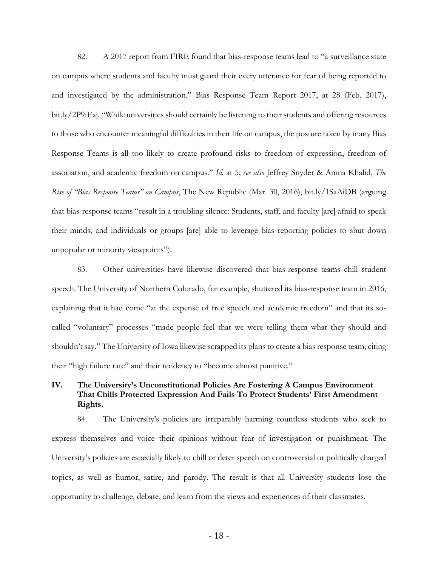82. A 2017 report from FIRE found that bias-response teams lead to "a surveillance state on campus where students and faculty must guard their every utterance for fear of being reported to and investigated by the administration." Bias Response Team Report 2017, at 28 (Feb. 2017), bit.ly/2P9iEaj. "While universities should certainly be listening to their students and offering resources to those who encounter meaningful difficulties in their life on campus, the posture taken by many Bias Response Teams is all too likely to create profound risks to freedom of expression, freedom of association, and academic freedom on campus." *Id.* at 5; *see also* Jeffrey Snyder & Amna Khalid, *The Rise of "Bias Response Teams" on Campus*, The New Republic (Mar. 30, 2016), bit.ly/1SaAiDB (arguing that bias-response teams "result in a troubling silence: Students, staff, and faculty [are] afraid to speak their minds, and individuals or groups [are] able to leverage bias reporting policies to shut down unpopular or minority viewpoints").

83. Other universities have likewise discovered that bias-response teams chill student speech. The University of Northern Colorado, for example, shuttered its bias-response team in 2016, explaining that it had come "at the expense of free speech and academic freedom" and that its socalled "voluntary" processes "made people feel that we were telling them what they should and shouldn't say." The University of Iowa likewise scrapped its plans to create a bias response team, citing their "high failure rate" and their tendency to "become almost punitive."

# **IV. The University's Unconstitutional Policies Are Fostering A Campus Environment That Chills Protected Expression And Fails To Protect Students' First Amendment Rights.**

84. The University's policies are irreparably harming countless students who seek to express themselves and voice their opinions without fear of investigation or punishment. The University's policies are especially likely to chill or deter speech on controversial or politically charged topics, as well as humor, satire, and parody. The result is that all University students lose the opportunity to challenge, debate, and learn from the views and experiences of their classmates.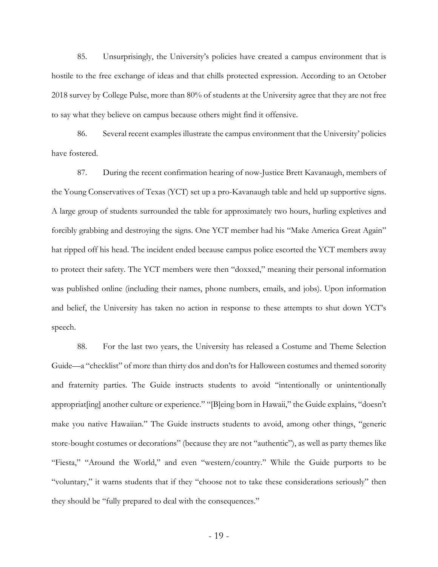85. Unsurprisingly, the University's policies have created a campus environment that is hostile to the free exchange of ideas and that chills protected expression. According to an October 2018 survey by College Pulse, more than 80% of students at the University agree that they are not free to say what they believe on campus because others might find it offensive.

86. Several recent examples illustrate the campus environment that the University' policies have fostered.

87. During the recent confirmation hearing of now-Justice Brett Kavanaugh, members of the Young Conservatives of Texas (YCT) set up a pro-Kavanaugh table and held up supportive signs. A large group of students surrounded the table for approximately two hours, hurling expletives and forcibly grabbing and destroying the signs. One YCT member had his "Make America Great Again" hat ripped off his head. The incident ended because campus police escorted the YCT members away to protect their safety. The YCT members were then "doxxed," meaning their personal information was published online (including their names, phone numbers, emails, and jobs). Upon information and belief, the University has taken no action in response to these attempts to shut down YCT's speech.

88. For the last two years, the University has released a Costume and Theme Selection Guide—a "checklist" of more than thirty dos and don'ts for Halloween costumes and themed sorority and fraternity parties. The Guide instructs students to avoid "intentionally or unintentionally appropriat[ing] another culture or experience." "[B]eing born in Hawaii," the Guide explains, "doesn't make you native Hawaiian." The Guide instructs students to avoid, among other things, "generic store-bought costumes or decorations" (because they are not "authentic"), as well as party themes like "Fiesta," "Around the World," and even "western/country." While the Guide purports to be "voluntary," it warns students that if they "choose not to take these considerations seriously" then they should be "fully prepared to deal with the consequences."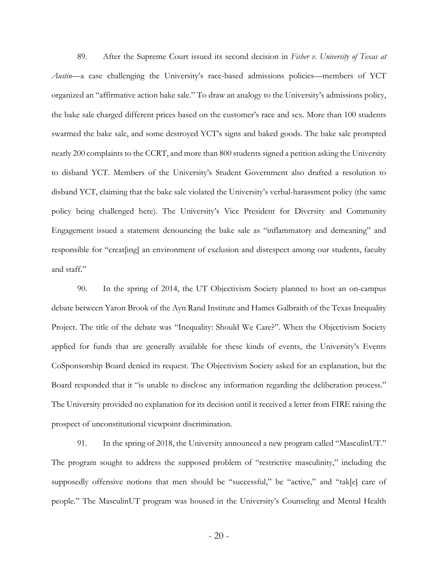89. After the Supreme Court issued its second decision in *Fisher v. University of Texas at Austin*—a case challenging the University's race-based admissions policies—members of YCT organized an "affirmative action bake sale." To draw an analogy to the University's admissions policy, the bake sale charged different prices based on the customer's race and sex. More than 100 students swarmed the bake sale, and some destroyed YCT's signs and baked goods. The bake sale prompted nearly 200 complaints to the CCRT, and more than 800 students signed a petition asking the University to disband YCT. Members of the University's Student Government also drafted a resolution to disband YCT, claiming that the bake sale violated the University's verbal-harassment policy (the same policy being challenged here). The University's Vice President for Diversity and Community Engagement issued a statement denouncing the bake sale as "inflammatory and demeaning" and responsible for "creat[ing] an environment of exclusion and disrespect among our students, faculty and staff."

90. In the spring of 2014, the UT Objectivism Society planned to host an on-campus debate between Yaron Brook of the Ayn Rand Institute and Hames Galbraith of the Texas Inequality Project. The title of the debate was "Inequality: Should We Care?". When the Objectivism Society applied for funds that are generally available for these kinds of events, the University's Events CoSponsorship Board denied its request. The Objectivism Society asked for an explanation, but the Board responded that it "is unable to disclose any information regarding the deliberation process." The University provided no explanation for its decision until it received a letter from FIRE raising the prospect of unconstitutional viewpoint discrimination.

91. In the spring of 2018, the University announced a new program called "MasculinUT." The program sought to address the supposed problem of "restrictive masculinity," including the supposedly offensive notions that men should be "successful," be "active," and "tak[e] care of people." The MasculinUT program was housed in the University's Counseling and Mental Health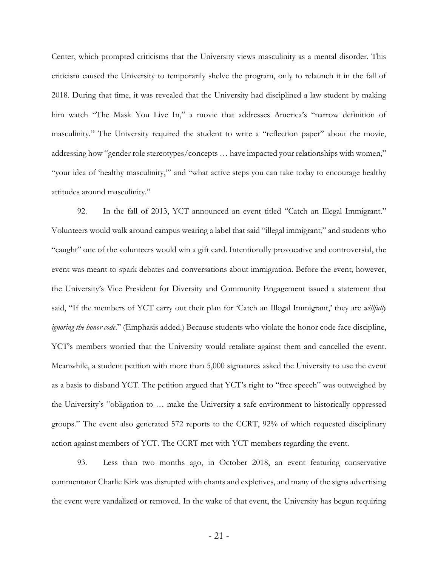Center, which prompted criticisms that the University views masculinity as a mental disorder. This criticism caused the University to temporarily shelve the program, only to relaunch it in the fall of 2018. During that time, it was revealed that the University had disciplined a law student by making him watch "The Mask You Live In," a movie that addresses America's "narrow definition of masculinity." The University required the student to write a "reflection paper" about the movie, addressing how "gender role stereotypes/concepts … have impacted your relationships with women," "your idea of 'healthy masculinity,'" and "what active steps you can take today to encourage healthy attitudes around masculinity."

92. In the fall of 2013, YCT announced an event titled "Catch an Illegal Immigrant." Volunteers would walk around campus wearing a label that said "illegal immigrant," and students who "caught" one of the volunteers would win a gift card. Intentionally provocative and controversial, the event was meant to spark debates and conversations about immigration. Before the event, however, the University's Vice President for Diversity and Community Engagement issued a statement that said, "If the members of YCT carry out their plan for 'Catch an Illegal Immigrant,' they are *willfully ignoring the honor code*." (Emphasis added.) Because students who violate the honor code face discipline, YCT's members worried that the University would retaliate against them and cancelled the event. Meanwhile, a student petition with more than 5,000 signatures asked the University to use the event as a basis to disband YCT. The petition argued that YCT's right to "free speech" was outweighed by the University's "obligation to … make the University a safe environment to historically oppressed groups." The event also generated 572 reports to the CCRT, 92% of which requested disciplinary action against members of YCT. The CCRT met with YCT members regarding the event.

93. Less than two months ago, in October 2018, an event featuring conservative commentator Charlie Kirk was disrupted with chants and expletives, and many of the signs advertising the event were vandalized or removed. In the wake of that event, the University has begun requiring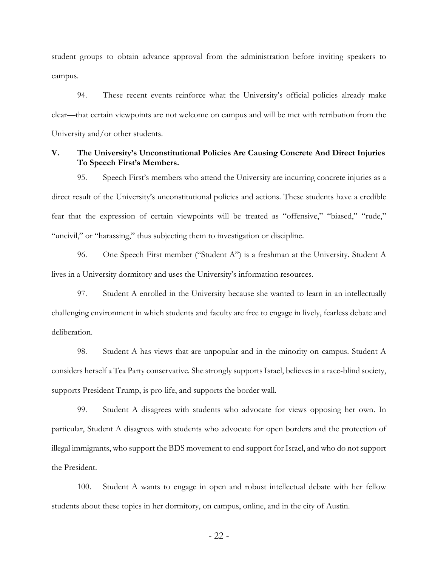student groups to obtain advance approval from the administration before inviting speakers to campus.

94. These recent events reinforce what the University's official policies already make clear—that certain viewpoints are not welcome on campus and will be met with retribution from the University and/or other students.

## **V. The University's Unconstitutional Policies Are Causing Concrete And Direct Injuries To Speech First's Members.**

95. Speech First's members who attend the University are incurring concrete injuries as a direct result of the University's unconstitutional policies and actions. These students have a credible fear that the expression of certain viewpoints will be treated as "offensive," "biased," "rude," "uncivil," or "harassing," thus subjecting them to investigation or discipline.

96. One Speech First member ("Student A") is a freshman at the University. Student A lives in a University dormitory and uses the University's information resources.

97. Student A enrolled in the University because she wanted to learn in an intellectually challenging environment in which students and faculty are free to engage in lively, fearless debate and deliberation.

98. Student A has views that are unpopular and in the minority on campus. Student A considers herself a Tea Party conservative. She strongly supports Israel, believes in a race-blind society, supports President Trump, is pro-life, and supports the border wall.

99. Student A disagrees with students who advocate for views opposing her own. In particular, Student A disagrees with students who advocate for open borders and the protection of illegal immigrants, who support the BDS movement to end support for Israel, and who do not support the President.

100. Student A wants to engage in open and robust intellectual debate with her fellow students about these topics in her dormitory, on campus, online, and in the city of Austin.

- 22 -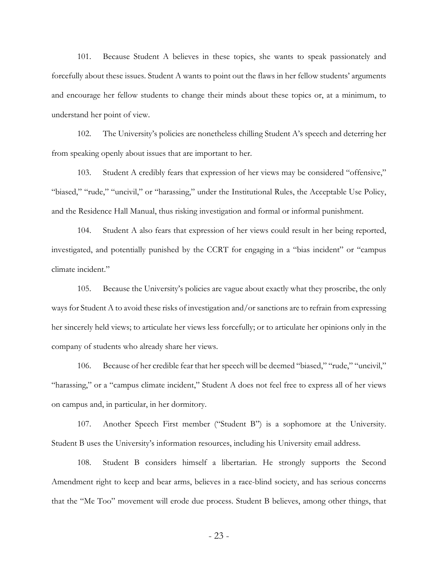101. Because Student A believes in these topics, she wants to speak passionately and forcefully about these issues. Student A wants to point out the flaws in her fellow students' arguments and encourage her fellow students to change their minds about these topics or, at a minimum, to understand her point of view.

102. The University's policies are nonetheless chilling Student A's speech and deterring her from speaking openly about issues that are important to her.

103. Student A credibly fears that expression of her views may be considered "offensive," "biased," "rude," "uncivil," or "harassing," under the Institutional Rules, the Acceptable Use Policy, and the Residence Hall Manual, thus risking investigation and formal or informal punishment.

104. Student A also fears that expression of her views could result in her being reported, investigated, and potentially punished by the CCRT for engaging in a "bias incident" or "campus climate incident."

105. Because the University's policies are vague about exactly what they proscribe, the only ways for Student A to avoid these risks of investigation and/or sanctions are to refrain from expressing her sincerely held views; to articulate her views less forcefully; or to articulate her opinions only in the company of students who already share her views.

106. Because of her credible fear that her speech will be deemed "biased," "rude," "uncivil," "harassing," or a "campus climate incident," Student A does not feel free to express all of her views on campus and, in particular, in her dormitory.

107. Another Speech First member ("Student B") is a sophomore at the University. Student B uses the University's information resources, including his University email address.

108. Student B considers himself a libertarian. He strongly supports the Second Amendment right to keep and bear arms, believes in a race-blind society, and has serious concerns that the "Me Too" movement will erode due process. Student B believes, among other things, that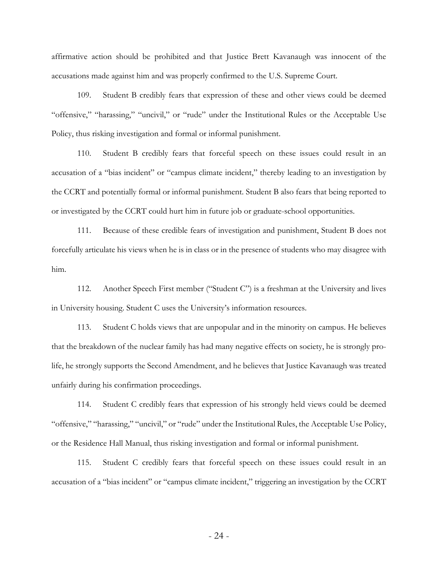affirmative action should be prohibited and that Justice Brett Kavanaugh was innocent of the accusations made against him and was properly confirmed to the U.S. Supreme Court.

109. Student B credibly fears that expression of these and other views could be deemed "offensive," "harassing," "uncivil," or "rude" under the Institutional Rules or the Acceptable Use Policy, thus risking investigation and formal or informal punishment.

110. Student B credibly fears that forceful speech on these issues could result in an accusation of a "bias incident" or "campus climate incident," thereby leading to an investigation by the CCRT and potentially formal or informal punishment. Student B also fears that being reported to or investigated by the CCRT could hurt him in future job or graduate-school opportunities.

111. Because of these credible fears of investigation and punishment, Student B does not forcefully articulate his views when he is in class or in the presence of students who may disagree with him.

112. Another Speech First member ("Student C") is a freshman at the University and lives in University housing. Student C uses the University's information resources.

113. Student C holds views that are unpopular and in the minority on campus. He believes that the breakdown of the nuclear family has had many negative effects on society, he is strongly prolife, he strongly supports the Second Amendment, and he believes that Justice Kavanaugh was treated unfairly during his confirmation proceedings.

114. Student C credibly fears that expression of his strongly held views could be deemed "offensive," "harassing," "uncivil," or "rude" under the Institutional Rules, the Acceptable Use Policy, or the Residence Hall Manual, thus risking investigation and formal or informal punishment.

115. Student C credibly fears that forceful speech on these issues could result in an accusation of a "bias incident" or "campus climate incident," triggering an investigation by the CCRT

- 24 -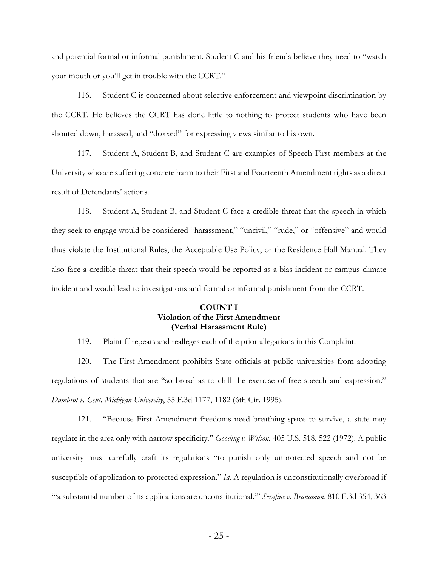and potential formal or informal punishment. Student C and his friends believe they need to "watch your mouth or you'll get in trouble with the CCRT."

116. Student C is concerned about selective enforcement and viewpoint discrimination by the CCRT. He believes the CCRT has done little to nothing to protect students who have been shouted down, harassed, and "doxxed" for expressing views similar to his own.

117. Student A, Student B, and Student C are examples of Speech First members at the University who are suffering concrete harm to their First and Fourteenth Amendment rights as a direct result of Defendants' actions.

118. Student A, Student B, and Student C face a credible threat that the speech in which they seek to engage would be considered "harassment," "uncivil," "rude," or "offensive" and would thus violate the Institutional Rules, the Acceptable Use Policy, or the Residence Hall Manual. They also face a credible threat that their speech would be reported as a bias incident or campus climate incident and would lead to investigations and formal or informal punishment from the CCRT.

# **COUNT I Violation of the First Amendment (Verbal Harassment Rule)**

119. Plaintiff repeats and realleges each of the prior allegations in this Complaint.

120. The First Amendment prohibits State officials at public universities from adopting regulations of students that are "so broad as to chill the exercise of free speech and expression." *Dambrot v. Cent. Michigan University*, 55 F.3d 1177, 1182 (6th Cir. 1995).

121. "Because First Amendment freedoms need breathing space to survive, a state may regulate in the area only with narrow specificity." *Gooding v. Wilson*, 405 U.S. 518, 522 (1972). A public university must carefully craft its regulations "to punish only unprotected speech and not be susceptible of application to protected expression." *Id.* A regulation is unconstitutionally overbroad if "'a substantial number of its applications are unconstitutional.'" *Serafine v. Branaman*, 810 F.3d 354, 363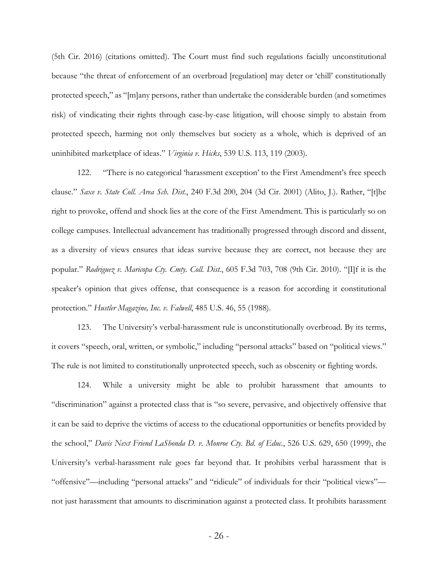(5th Cir. 2016) (citations omitted). The Court must find such regulations facially unconstitutional because "the threat of enforcement of an overbroad [regulation] may deter or 'chill' constitutionally protected speech," as "[m]any persons, rather than undertake the considerable burden (and sometimes risk) of vindicating their rights through case-by-case litigation, will choose simply to abstain from protected speech, harming not only themselves but society as a whole, which is deprived of an uninhibited marketplace of ideas." *Virginia v. Hicks*, 539 U.S. 113, 119 (2003).

122. "There is no categorical 'harassment exception' to the First Amendment's free speech clause." *Saxe v. State Coll. Area Sch. Dist.*, 240 F.3d 200, 204 (3d Cir. 2001) (Alito, J.). Rather, "[t]he right to provoke, offend and shock lies at the core of the First Amendment. This is particularly so on college campuses. Intellectual advancement has traditionally progressed through discord and dissent, as a diversity of views ensures that ideas survive because they are correct, not because they are popular." *Rodriguez v. Maricopa Cty. Cmty. Coll. Dist.*, 605 F.3d 703, 708 (9th Cir. 2010). "[I]f it is the speaker's opinion that gives offense, that consequence is a reason for according it constitutional protection." *Hustler Magazine, Inc. v. Falwell*, 485 U.S. 46, 55 (1988).

123. The University's verbal-harassment rule is unconstitutionally overbroad. By its terms, it covers "speech, oral, written, or symbolic," including "personal attacks" based on "political views." The rule is not limited to constitutionally unprotected speech, such as obscenity or fighting words.

124. While a university might be able to prohibit harassment that amounts to "discrimination" against a protected class that is "so severe, pervasive, and objectively offensive that it can be said to deprive the victims of access to the educational opportunities or benefits provided by the school," *Davis Next Friend LaShonda D. v. Monroe Cty. Bd. of Educ.*, 526 U.S. 629, 650 (1999), the University's verbal-harassment rule goes far beyond that. It prohibits verbal harassment that is "offensive"—including "personal attacks" and "ridicule" of individuals for their "political views" not just harassment that amounts to discrimination against a protected class. It prohibits harassment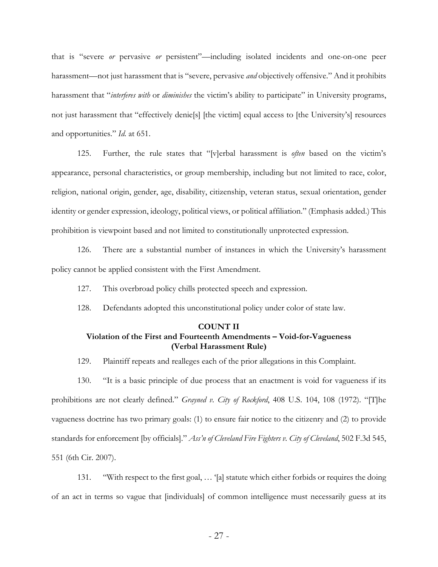that is "severe *or* pervasive *or* persistent"—including isolated incidents and one-on-one peer harassment—not just harassment that is "severe, pervasive *and* objectively offensive." And it prohibits harassment that "*interferes with* or *diminishes* the victim's ability to participate" in University programs, not just harassment that "effectively denie[s] [the victim] equal access to [the University's] resources and opportunities." *Id.* at 651.

125. Further, the rule states that "[v]erbal harassment is *often* based on the victim's appearance, personal characteristics, or group membership, including but not limited to race, color, religion, national origin, gender, age, disability, citizenship, veteran status, sexual orientation, gender identity or gender expression, ideology, political views, or political affiliation." (Emphasis added.) This prohibition is viewpoint based and not limited to constitutionally unprotected expression.

126. There are a substantial number of instances in which the University's harassment policy cannot be applied consistent with the First Amendment.

127. This overbroad policy chills protected speech and expression.

128. Defendants adopted this unconstitutional policy under color of state law.

# **COUNT II Violation of the First and Fourteenth Amendments – Void-for-Vagueness (Verbal Harassment Rule)**

129. Plaintiff repeats and realleges each of the prior allegations in this Complaint.

130. "It is a basic principle of due process that an enactment is void for vagueness if its prohibitions are not clearly defined." *Grayned v. City of Rockford*, 408 U.S. 104, 108 (1972). "[T]he vagueness doctrine has two primary goals: (1) to ensure fair notice to the citizenry and (2) to provide standards for enforcement [by officials]." *Ass'n of Cleveland Fire Fighters v. City of Cleveland*, 502 F.3d 545, 551 (6th Cir. 2007).

131. "With respect to the first goal, … '[a] statute which either forbids or requires the doing of an act in terms so vague that [individuals] of common intelligence must necessarily guess at its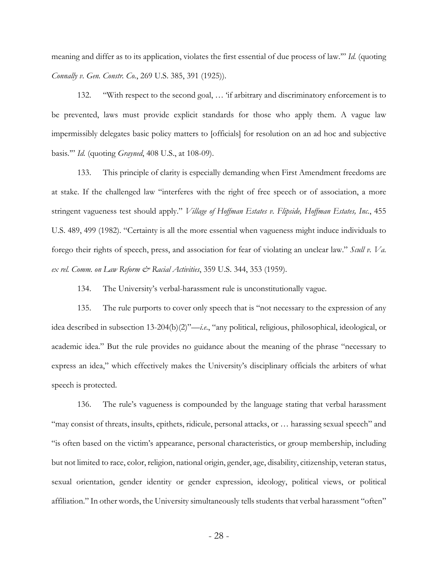meaning and differ as to its application, violates the first essential of due process of law.'" *Id.* (quoting *Connally v. Gen. Constr. Co.*, 269 U.S. 385, 391 (1925)).

132. "With respect to the second goal, … 'if arbitrary and discriminatory enforcement is to be prevented, laws must provide explicit standards for those who apply them. A vague law impermissibly delegates basic policy matters to [officials] for resolution on an ad hoc and subjective basis.'" *Id.* (quoting *Grayned*, 408 U.S., at 108-09).

133. This principle of clarity is especially demanding when First Amendment freedoms are at stake. If the challenged law "interferes with the right of free speech or of association, a more stringent vagueness test should apply." *Village of Hoffman Estates v. Flipside, Hoffman Estates, Inc.*, 455 U.S. 489, 499 (1982). "Certainty is all the more essential when vagueness might induce individuals to forego their rights of speech, press, and association for fear of violating an unclear law." *Scull v. Va. ex rel. Comm. on Law Reform & Racial Activities*, 359 U.S. 344, 353 (1959).

134. The University's verbal-harassment rule is unconstitutionally vague.

135. The rule purports to cover only speech that is "not necessary to the expression of any idea described in subsection 13-204(b)(2)"—*i.e*., "any political, religious, philosophical, ideological, or academic idea." But the rule provides no guidance about the meaning of the phrase "necessary to express an idea," which effectively makes the University's disciplinary officials the arbiters of what speech is protected.

136. The rule's vagueness is compounded by the language stating that verbal harassment "may consist of threats, insults, epithets, ridicule, personal attacks, or … harassing sexual speech" and "is often based on the victim's appearance, personal characteristics, or group membership, including but not limited to race, color, religion, national origin, gender, age, disability, citizenship, veteran status, sexual orientation, gender identity or gender expression, ideology, political views, or political affiliation." In other words, the University simultaneously tells students that verbal harassment "often"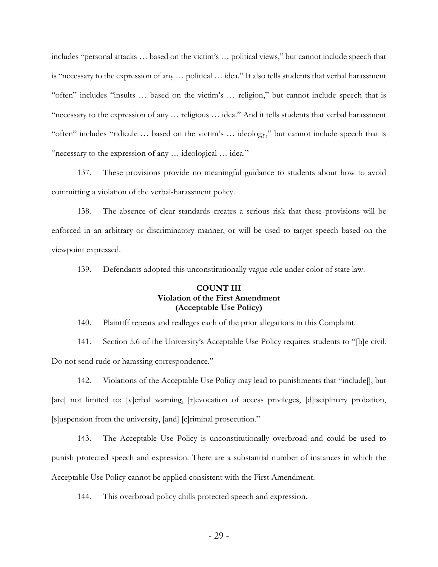includes "personal attacks … based on the victim's … political views," but cannot include speech that is "necessary to the expression of any … political … idea." It also tells students that verbal harassment "often" includes "insults … based on the victim's … religion," but cannot include speech that is "necessary to the expression of any … religious … idea." And it tells students that verbal harassment "often" includes "ridicule … based on the victim's … ideology," but cannot include speech that is "necessary to the expression of any … ideological … idea."

137. These provisions provide no meaningful guidance to students about how to avoid committing a violation of the verbal-harassment policy.

138. The absence of clear standards creates a serious risk that these provisions will be enforced in an arbitrary or discriminatory manner, or will be used to target speech based on the viewpoint expressed.

139. Defendants adopted this unconstitutionally vague rule under color of state law.

# **COUNT III Violation of the First Amendment (Acceptable Use Policy)**

140. Plaintiff repeats and realleges each of the prior allegations in this Complaint.

141. Section 5.6 of the University's Acceptable Use Policy requires students to "[b]e civil. Do not send rude or harassing correspondence."

142. Violations of the Acceptable Use Policy may lead to punishments that "include[], but [are] not limited to: [v]erbal warning, [r]evocation of access privileges, [d]isciplinary probation, [s]uspension from the university, [and] [c]riminal prosecution."

143. The Acceptable Use Policy is unconstitutionally overbroad and could be used to punish protected speech and expression. There are a substantial number of instances in which the Acceptable Use Policy cannot be applied consistent with the First Amendment.

144. This overbroad policy chills protected speech and expression.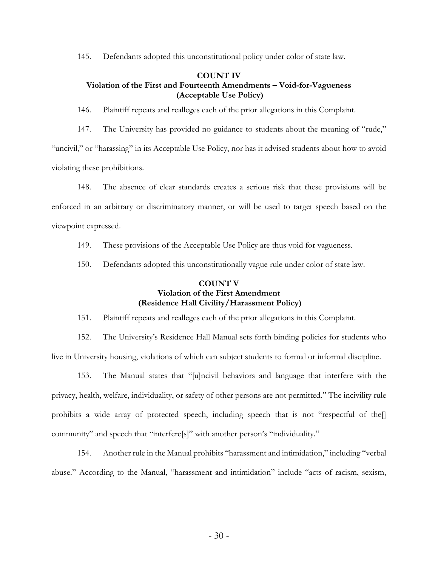145. Defendants adopted this unconstitutional policy under color of state law.

## **COUNT IV Violation of the First and Fourteenth Amendments – Void-for-Vagueness (Acceptable Use Policy)**

146. Plaintiff repeats and realleges each of the prior allegations in this Complaint.

147. The University has provided no guidance to students about the meaning of "rude," "uncivil," or "harassing" in its Acceptable Use Policy, nor has it advised students about how to avoid violating these prohibitions.

148. The absence of clear standards creates a serious risk that these provisions will be enforced in an arbitrary or discriminatory manner, or will be used to target speech based on the viewpoint expressed.

149. These provisions of the Acceptable Use Policy are thus void for vagueness.

150. Defendants adopted this unconstitutionally vague rule under color of state law.

# **COUNT V Violation of the First Amendment (Residence Hall Civility/Harassment Policy)**

151. Plaintiff repeats and realleges each of the prior allegations in this Complaint.

152. The University's Residence Hall Manual sets forth binding policies for students who live in University housing, violations of which can subject students to formal or informal discipline.

153. The Manual states that "[u]ncivil behaviors and language that interfere with the privacy, health, welfare, individuality, or safety of other persons are not permitted." The incivility rule prohibits a wide array of protected speech, including speech that is not "respectful of the<sup>[]</sup> community" and speech that "interfere[s]" with another person's "individuality."

154. Another rule in the Manual prohibits "harassment and intimidation," including "verbal abuse." According to the Manual, "harassment and intimidation" include "acts of racism, sexism,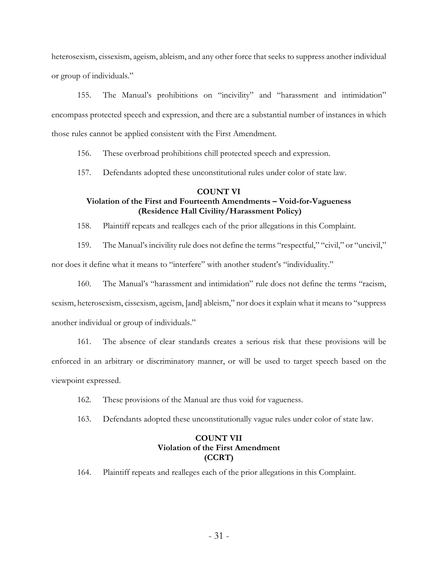heterosexism, cissexism, ageism, ableism, and any other force that seeks to suppress another individual or group of individuals."

155. The Manual's prohibitions on "incivility" and "harassment and intimidation" encompass protected speech and expression, and there are a substantial number of instances in which those rules cannot be applied consistent with the First Amendment.

156. These overbroad prohibitions chill protected speech and expression.

157. Defendants adopted these unconstitutional rules under color of state law.

## **COUNT VI**

# **Violation of the First and Fourteenth Amendments – Void-for-Vagueness (Residence Hall Civility/Harassment Policy)**

158. Plaintiff repeats and realleges each of the prior allegations in this Complaint.

159. The Manual's incivility rule does not define the terms "respectful," "civil," or "uncivil,"

nor does it define what it means to "interfere" with another student's "individuality."

160. The Manual's "harassment and intimidation" rule does not define the terms "racism, sexism, heterosexism, cissexism, ageism, [and] ableism," nor does it explain what it means to "suppress another individual or group of individuals."

161. The absence of clear standards creates a serious risk that these provisions will be enforced in an arbitrary or discriminatory manner, or will be used to target speech based on the viewpoint expressed.

- 162. These provisions of the Manual are thus void for vagueness.
- 163. Defendants adopted these unconstitutionally vague rules under color of state law.

# **COUNT VII Violation of the First Amendment (CCRT)**

164. Plaintiff repeats and realleges each of the prior allegations in this Complaint.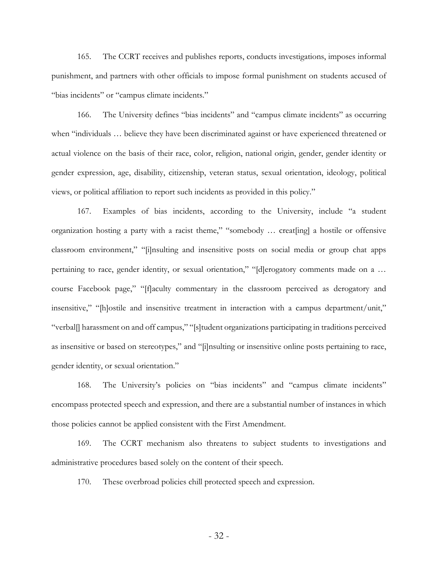165. The CCRT receives and publishes reports, conducts investigations, imposes informal punishment, and partners with other officials to impose formal punishment on students accused of "bias incidents" or "campus climate incidents."

166. The University defines "bias incidents" and "campus climate incidents" as occurring when "individuals … believe they have been discriminated against or have experienced threatened or actual violence on the basis of their race, color, religion, national origin, gender, gender identity or gender expression, age, disability, citizenship, veteran status, sexual orientation, ideology, political views, or political affiliation to report such incidents as provided in this policy."

167. Examples of bias incidents, according to the University, include "a student organization hosting a party with a racist theme," "somebody … creat[ing] a hostile or offensive classroom environment," "[i]nsulting and insensitive posts on social media or group chat apps pertaining to race, gender identity, or sexual orientation," "[d]erogatory comments made on a ... course Facebook page," "[f]aculty commentary in the classroom perceived as derogatory and insensitive," "[h]ostile and insensitive treatment in interaction with a campus department/unit," "verbal[] harassment on and off campus," "[s]tudent organizations participating in traditions perceived as insensitive or based on stereotypes," and "[i]nsulting or insensitive online posts pertaining to race, gender identity, or sexual orientation."

168. The University's policies on "bias incidents" and "campus climate incidents" encompass protected speech and expression, and there are a substantial number of instances in which those policies cannot be applied consistent with the First Amendment.

169. The CCRT mechanism also threatens to subject students to investigations and administrative procedures based solely on the content of their speech.

170. These overbroad policies chill protected speech and expression.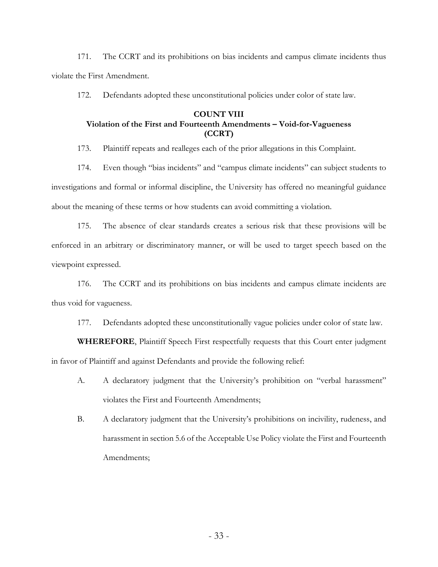171. The CCRT and its prohibitions on bias incidents and campus climate incidents thus violate the First Amendment.

172. Defendants adopted these unconstitutional policies under color of state law.

# **COUNT VIII Violation of the First and Fourteenth Amendments – Void-for-Vagueness (CCRT)**

173. Plaintiff repeats and realleges each of the prior allegations in this Complaint.

174. Even though "bias incidents" and "campus climate incidents" can subject students to investigations and formal or informal discipline, the University has offered no meaningful guidance about the meaning of these terms or how students can avoid committing a violation.

175. The absence of clear standards creates a serious risk that these provisions will be enforced in an arbitrary or discriminatory manner, or will be used to target speech based on the viewpoint expressed.

176. The CCRT and its prohibitions on bias incidents and campus climate incidents are thus void for vagueness.

177. Defendants adopted these unconstitutionally vague policies under color of state law.

**WHEREFORE**, Plaintiff Speech First respectfully requests that this Court enter judgment in favor of Plaintiff and against Defendants and provide the following relief:

- A. A declaratory judgment that the University's prohibition on "verbal harassment" violates the First and Fourteenth Amendments;
- B. A declaratory judgment that the University's prohibitions on incivility, rudeness, and harassment in section 5.6 of the Acceptable Use Policy violate the First and Fourteenth Amendments;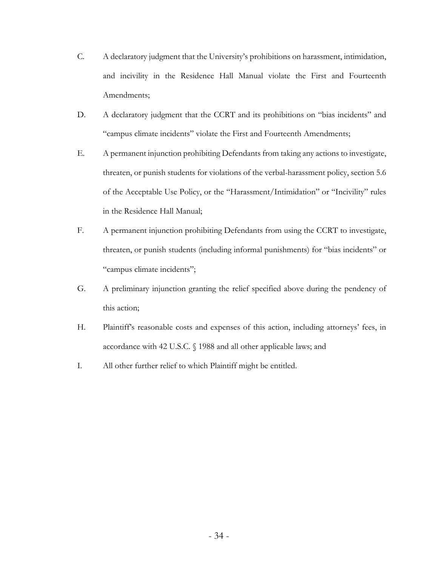- C. A declaratory judgment that the University's prohibitions on harassment, intimidation, and incivility in the Residence Hall Manual violate the First and Fourteenth Amendments;
- D. A declaratory judgment that the CCRT and its prohibitions on "bias incidents" and "campus climate incidents" violate the First and Fourteenth Amendments;
- E. A permanent injunction prohibiting Defendants from taking any actions to investigate, threaten, or punish students for violations of the verbal-harassment policy, section 5.6 of the Acceptable Use Policy, or the "Harassment/Intimidation" or "Incivility" rules in the Residence Hall Manual;
- F. A permanent injunction prohibiting Defendants from using the CCRT to investigate, threaten, or punish students (including informal punishments) for "bias incidents" or "campus climate incidents";
- G. A preliminary injunction granting the relief specified above during the pendency of this action;
- H. Plaintiff's reasonable costs and expenses of this action, including attorneys' fees, in accordance with 42 U.S.C. § 1988 and all other applicable laws; and
- I. All other further relief to which Plaintiff might be entitled.